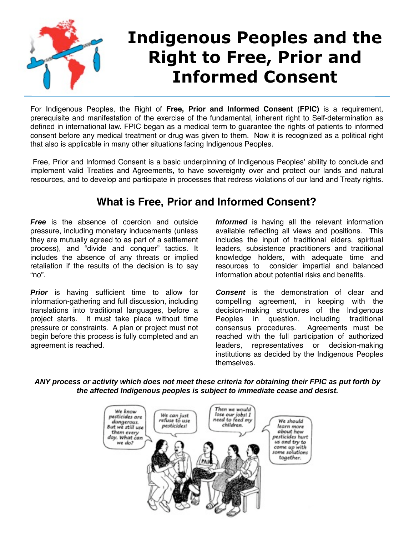

For Indigenous Peoples, the Right of **Free, Prior and Informed Consent (FPIC)** is a requirement, prerequisite and manifestation of the exercise of the fundamental, inherent right to Self-determination as defined in international law. FPIC began as a medical term to guarantee the rights of patients to informed consent before any medical treatment or drug was given to them. Now it is recognized as a political right that also is applicable in many other situations facing Indigenous Peoples.

Free, Prior and Informed Consent is a basic underpinning of Indigenous Peoples' ability to conclude and implement valid Treaties and Agreements, to have sovereignty over and protect our lands and natural resources, and to develop and participate in processes that redress violations of our land and Treaty rights.

## **What is Free, Prior and Informed Consent?**

**Free** is the absence of coercion and outside pressure, including monetary inducements (unless they are mutually agreed to as part of a settlement process), and "divide and conquer" tactics. It includes the absence of any threats or implied retaliation if the results of the decision is to say "no".

**Prior** is having sufficient time to allow for information-gathering and full discussion, including translations into traditional languages, before a project starts. It must take place without time pressure or constraints. A plan or project must not begin before this process is fully completed and an agreement is reached.

**Informed** is having all the relevant information available reflecting all views and positions. This includes the input of traditional elders, spiritual leaders, subsistence practitioners and traditional knowledge holders, with adequate time and resources to consider impartial and balanced information about potential risks and benefits.

**Consent** is the demonstration of clear and compelling agreement, in keeping with the decision-making structures of the Indigenous Peoples in question, including traditional consensus procedures. Agreements must be reached with the full participation of authorized leaders, representatives or decision-making institutions as decided by the Indigenous Peoples themselves.

**ANY process or activity which does not meet these criteria for obtaining their FPIC as put forth by the affected Indigenous peoples is subject to immediate cease and desist.**